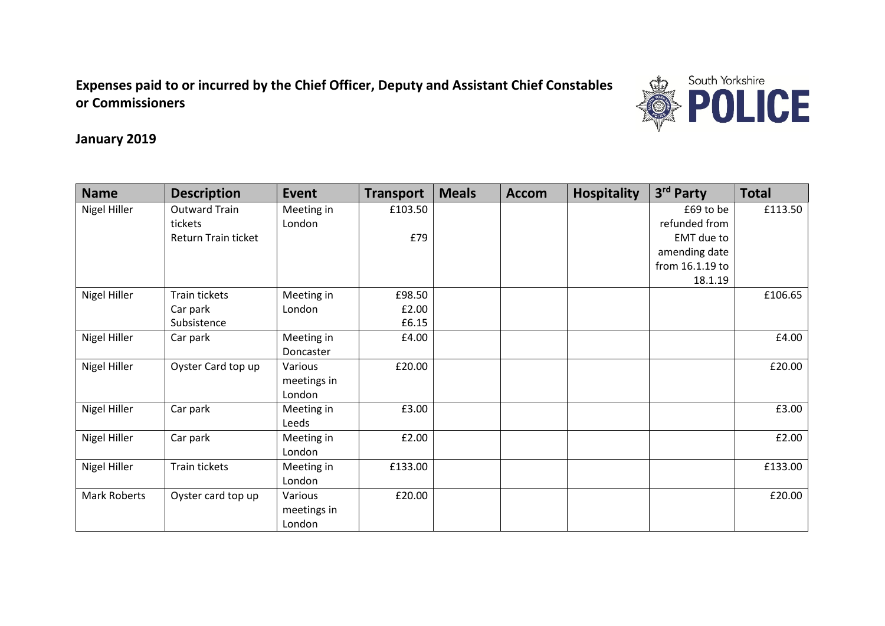**Expenses paid to or incurred by the Chief Officer, Deputy and Assistant Chief Constables or Commissioners** 



**January 2019**

| <b>Name</b>  | <b>Description</b>   | <b>Event</b> | <b>Transport</b> | <b>Meals</b> | <b>Accom</b> | <b>Hospitality</b> | 3rd Party       | <b>Total</b> |
|--------------|----------------------|--------------|------------------|--------------|--------------|--------------------|-----------------|--------------|
| Nigel Hiller | <b>Outward Train</b> | Meeting in   | £103.50          |              |              |                    | £69 to be       | £113.50      |
|              | tickets              | London       |                  |              |              |                    | refunded from   |              |
|              | Return Train ticket  |              | £79              |              |              |                    | EMT due to      |              |
|              |                      |              |                  |              |              |                    | amending date   |              |
|              |                      |              |                  |              |              |                    | from 16.1.19 to |              |
|              |                      |              |                  |              |              |                    | 18.1.19         |              |
| Nigel Hiller | Train tickets        | Meeting in   | £98.50           |              |              |                    |                 | £106.65      |
|              | Car park             | London       | £2.00            |              |              |                    |                 |              |
|              | Subsistence          |              | £6.15            |              |              |                    |                 |              |
| Nigel Hiller | Car park             | Meeting in   | £4.00            |              |              |                    |                 | £4.00        |
|              |                      | Doncaster    |                  |              |              |                    |                 |              |
| Nigel Hiller | Oyster Card top up   | Various      | £20.00           |              |              |                    |                 | £20.00       |
|              |                      | meetings in  |                  |              |              |                    |                 |              |
|              |                      | London       |                  |              |              |                    |                 |              |
| Nigel Hiller | Car park             | Meeting in   | £3.00            |              |              |                    |                 | £3.00        |
|              |                      | Leeds        |                  |              |              |                    |                 |              |
| Nigel Hiller | Car park             | Meeting in   | £2.00            |              |              |                    |                 | £2.00        |
|              |                      | London       |                  |              |              |                    |                 |              |
| Nigel Hiller | Train tickets        | Meeting in   | £133.00          |              |              |                    |                 | £133.00      |
|              |                      | London       |                  |              |              |                    |                 |              |
| Mark Roberts | Oyster card top up   | Various      | £20.00           |              |              |                    |                 | £20.00       |
|              |                      | meetings in  |                  |              |              |                    |                 |              |
|              |                      | London       |                  |              |              |                    |                 |              |